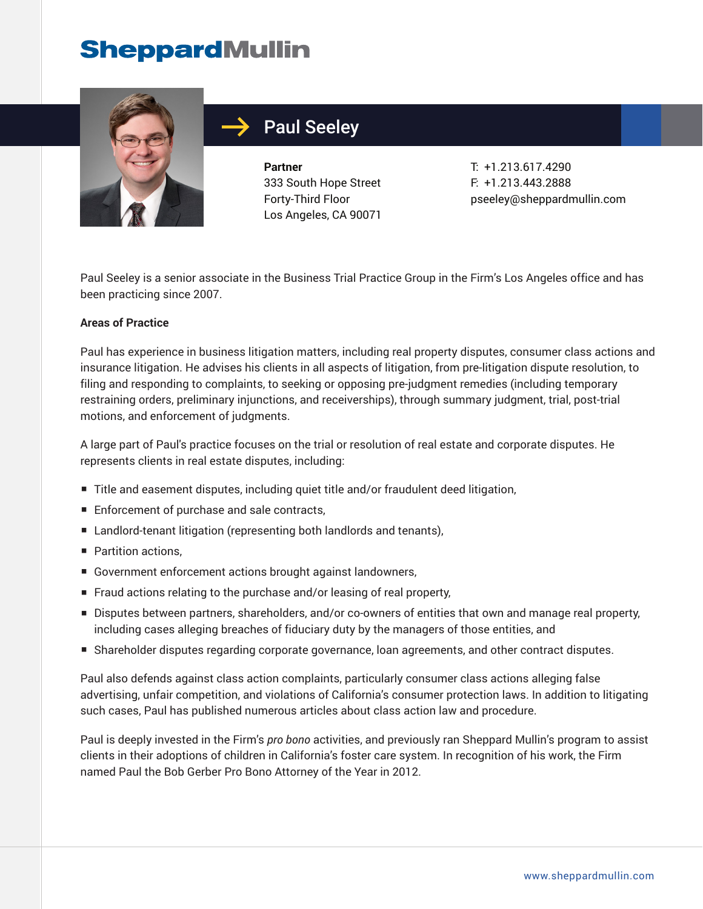# **SheppardMullin**



## Paul Seeley

**Partner** 333 South Hope Street Forty-Third Floor Los Angeles, CA 90071

T: +1.213.617.4290 F: +1.213.443.2888 pseeley@sheppardmullin.com

Paul Seeley is a senior associate in the Business Trial Practice Group in the Firm's Los Angeles office and has been practicing since 2007.

#### **Areas of Practice**

Paul has experience in business litigation matters, including real property disputes, consumer class actions and insurance litigation. He advises his clients in all aspects of litigation, from pre-litigation dispute resolution, to filing and responding to complaints, to seeking or opposing pre-judgment remedies (including temporary restraining orders, preliminary injunctions, and receiverships), through summary judgment, trial, post-trial motions, and enforcement of judgments.

A large part of Paul's practice focuses on the trial or resolution of real estate and corporate disputes. He represents clients in real estate disputes, including:

- Title and easement disputes, including quiet title and/or fraudulent deed litigation,
- Enforcement of purchase and sale contracts,
- Landlord-tenant litigation (representing both landlords and tenants),
- Partition actions.
- Government enforcement actions brought against landowners,
- Fraud actions relating to the purchase and/or leasing of real property,
- Disputes between partners, shareholders, and/or co-owners of entities that own and manage real property, including cases alleging breaches of fiduciary duty by the managers of those entities, and
- Shareholder disputes regarding corporate governance, loan agreements, and other contract disputes.

Paul also defends against class action complaints, particularly consumer class actions alleging false advertising, unfair competition, and violations of California's consumer protection laws. In addition to litigating such cases, Paul has published numerous articles about class action law and procedure.

Paul is deeply invested in the Firm's *pro bono* activities, and previously ran Sheppard Mullin's program to assist clients in their adoptions of children in California's foster care system. In recognition of his work, the Firm named Paul the Bob Gerber Pro Bono Attorney of the Year in 2012.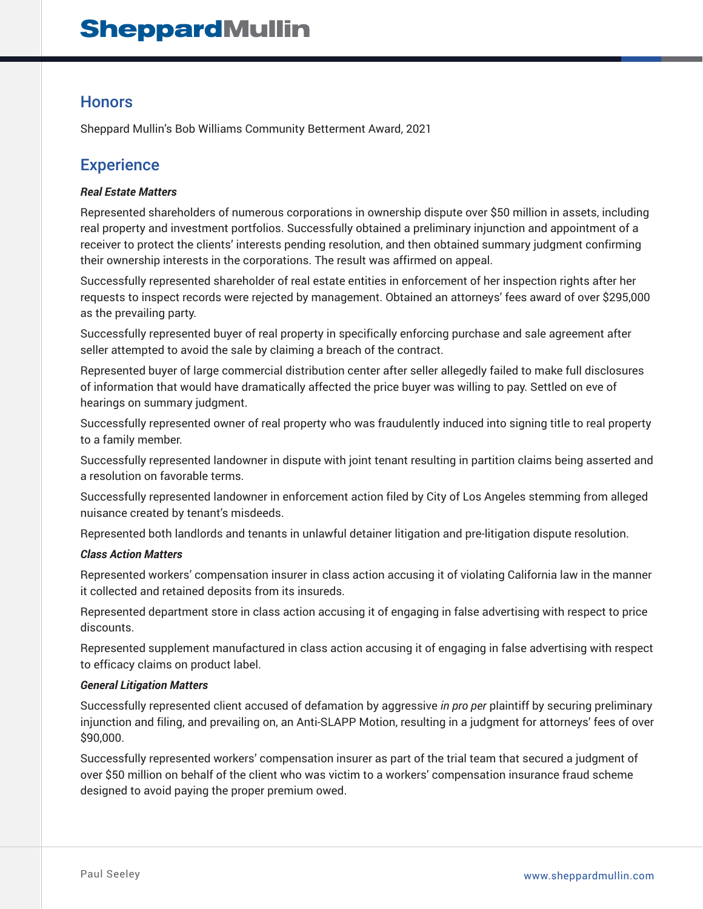## **Honors**

Sheppard Mullin's Bob Williams Community Betterment Award, 2021

## **Experience**

#### *Real Estate Matters*

Represented shareholders of numerous corporations in ownership dispute over \$50 million in assets, including real property and investment portfolios. Successfully obtained a preliminary injunction and appointment of a receiver to protect the clients' interests pending resolution, and then obtained summary judgment confirming their ownership interests in the corporations. The result was affirmed on appeal.

Successfully represented shareholder of real estate entities in enforcement of her inspection rights after her requests to inspect records were rejected by management. Obtained an attorneys' fees award of over \$295,000 as the prevailing party.

Successfully represented buyer of real property in specifically enforcing purchase and sale agreement after seller attempted to avoid the sale by claiming a breach of the contract.

Represented buyer of large commercial distribution center after seller allegedly failed to make full disclosures of information that would have dramatically affected the price buyer was willing to pay. Settled on eve of hearings on summary judgment.

Successfully represented owner of real property who was fraudulently induced into signing title to real property to a family member.

Successfully represented landowner in dispute with joint tenant resulting in partition claims being asserted and a resolution on favorable terms.

Successfully represented landowner in enforcement action filed by City of Los Angeles stemming from alleged nuisance created by tenant's misdeeds.

Represented both landlords and tenants in unlawful detainer litigation and pre-litigation dispute resolution.

#### *Class Action Matters*

Represented workers' compensation insurer in class action accusing it of violating California law in the manner it collected and retained deposits from its insureds.

Represented department store in class action accusing it of engaging in false advertising with respect to price discounts.

Represented supplement manufactured in class action accusing it of engaging in false advertising with respect to efficacy claims on product label.

#### *General Litigation Matters*

Successfully represented client accused of defamation by aggressive *in pro per* plaintiff by securing preliminary injunction and filing, and prevailing on, an Anti-SLAPP Motion, resulting in a judgment for attorneys' fees of over \$90,000.

Successfully represented workers' compensation insurer as part of the trial team that secured a judgment of over \$50 million on behalf of the client who was victim to a workers' compensation insurance fraud scheme designed to avoid paying the proper premium owed.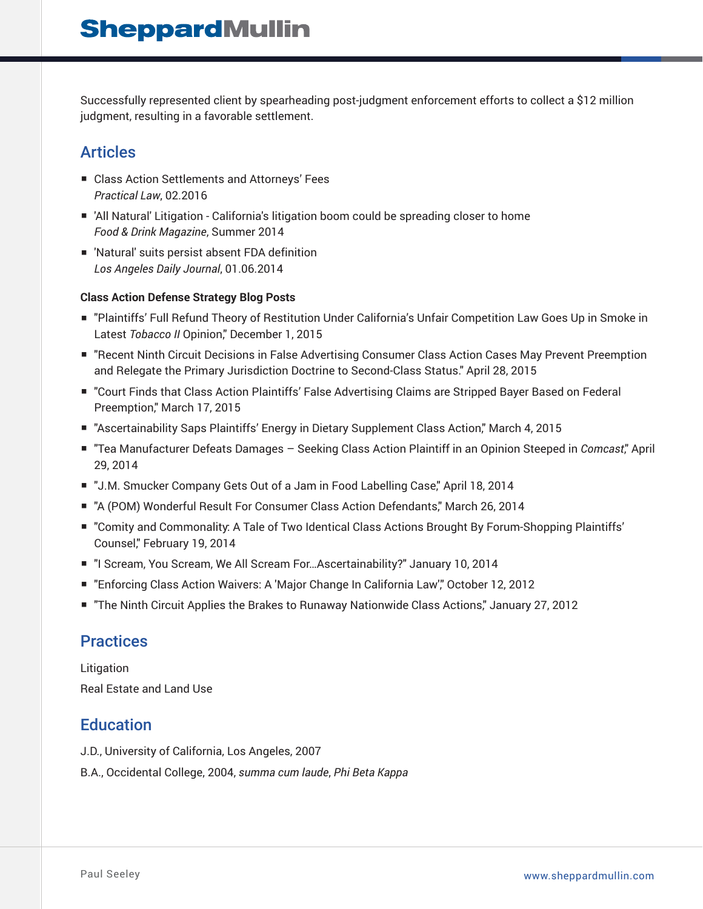Successfully represented client by spearheading post-judgment enforcement efforts to collect a \$12 million judgment, resulting in a favorable settlement.

## Articles

- Class Action Settlements and Attorneys' Fees *Practical Law*, 02.2016
- 'All Natural' Litigation California's litigation boom could be spreading closer to home *Food & Drink Magazine*, Summer 2014
- 'Natural' suits persist absent FDA definition *Los Angeles Daily Journal*, 01.06.2014

#### **Class Action Defense Strategy Blog Posts**

- "Plaintiffs' Full Refund Theory of Restitution Under California's Unfair Competition Law Goes Up in Smoke in Latest *Tobacco II* Opinion," December 1, 2015
- "Recent Ninth Circuit Decisions in False Advertising Consumer Class Action Cases May Prevent Preemption and Relegate the Primary Jurisdiction Doctrine to Second-Class Status." April 28, 2015
- "Court Finds that Class Action Plaintiffs' False Advertising Claims are Stripped Bayer Based on Federal Preemption," March 17, 2015
- "Ascertainability Saps Plaintiffs' Energy in Dietary Supplement Class Action," March 4, 2015
- "Tea Manufacturer Defeats Damages Seeking Class Action Plaintiff in an Opinion Steeped in *Comcast*," April 29, 2014
- "J.M. Smucker Company Gets Out of a Jam in Food Labelling Case," April 18, 2014
- "A (POM) Wonderful Result For Consumer Class Action Defendants," March 26, 2014
- "Comity and Commonality: A Tale of Two Identical Class Actions Brought By Forum-Shopping Plaintiffs' Counsel," February 19, 2014
- "I Scream, You Scream, We All Scream For...Ascertainability?" January 10, 2014
- "Enforcing Class Action Waivers: A 'Major Change In California Law'," October 12, 2012
- "The Ninth Circuit Applies the Brakes to Runaway Nationwide Class Actions," January 27, 2012

### **Practices**

Litigation Real Estate and Land Use

## **Education**

- J.D., University of California, Los Angeles, 2007
- B.A., Occidental College, 2004, *summa cum laude*, *Phi Beta Kappa*